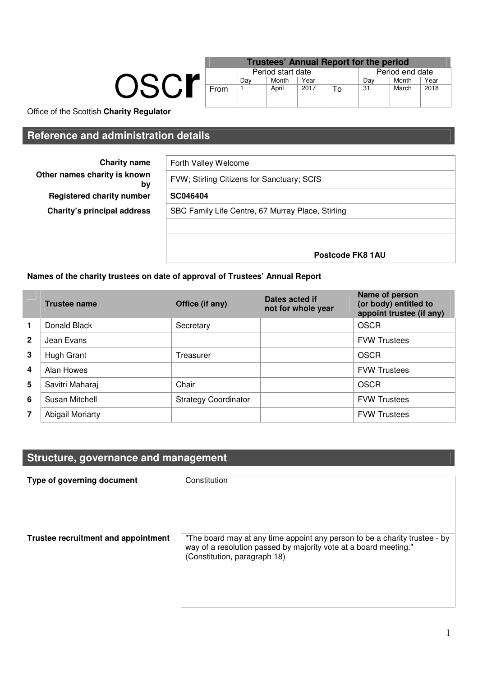|      | <u>I</u> ruste |   |
|------|----------------|---|
|      | Period         |   |
|      | Da`            |   |
| From |                | A |
|      |                |   |

|      | Period start date |       |      |     |       |                                                                  |
|------|-------------------|-------|------|-----|-------|------------------------------------------------------------------|
|      | Day               | Month | Year | Dav | Month | Year                                                             |
| From |                   | April | 2017 | 31  | March | 2018                                                             |
|      |                   |       |      |     |       | <b>Trustees' Annual Report for the period</b><br>Period end date |

Office of the Scottish **Charity Regulator**

### **Reference and administration details**

**Charity name Other names charity is known Registered charity number Charity's principal address** 

| Forth Valley Welcome                              |  |
|---------------------------------------------------|--|
| FVW; Stirling Citizens for Sanctuary; SCfS        |  |
| SC046404                                          |  |
| SBC Family Life Centre, 67 Murray Place, Stirling |  |
|                                                   |  |
|                                                   |  |
|                                                   |  |

#### **Names of the charity trustees on date of approval of Trustees' Annual Report**

|              | <b>Trustee name</b> | Office (if any)             | Dates acted if<br>not for whole year | Name of person<br>(or body) entitled to<br>appoint trustee (if any) |
|--------------|---------------------|-----------------------------|--------------------------------------|---------------------------------------------------------------------|
| 1            | Donald Black        | Secretary                   |                                      | <b>OSCR</b>                                                         |
| $\mathbf{2}$ | Jean Evans          |                             |                                      | <b>FVW Trustees</b>                                                 |
| 3            | Hugh Grant          | Treasurer                   |                                      | OSCR                                                                |
| 4            | Alan Howes          |                             |                                      | <b>FVW Trustees</b>                                                 |
| 5            | Savitri Maharaj     | Chair                       |                                      | OSCR                                                                |
| 6            | Susan Mitchell      | <b>Strategy Coordinator</b> |                                      | <b>FVW Trustees</b>                                                 |
| 7            | Abigail Moriarty    |                             |                                      | <b>FVW Trustees</b>                                                 |

## **Structure, governance and management**

| Type of governing document          | Constitution                                                                                                                                                                   |
|-------------------------------------|--------------------------------------------------------------------------------------------------------------------------------------------------------------------------------|
| Trustee recruitment and appointment | "The board may at any time appoint any person to be a charity trustee - by<br>way of a resolution passed by majority vote at a board meeting."<br>(Constitution, paragraph 18) |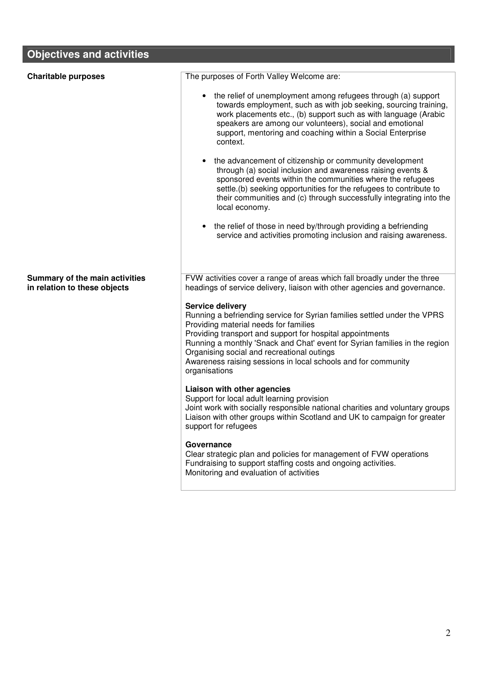# **Objectives and activities**

| <b>Charitable purposes</b>                                     | The purposes of Forth Valley Welcome are:                                                                                                                                                                                                                                                                                                             |
|----------------------------------------------------------------|-------------------------------------------------------------------------------------------------------------------------------------------------------------------------------------------------------------------------------------------------------------------------------------------------------------------------------------------------------|
|                                                                | • the relief of unemployment among refugees through (a) support<br>towards employment, such as with job seeking, sourcing training,<br>work placements etc., (b) support such as with language (Arabic<br>speakers are among our volunteers), social and emotional<br>support, mentoring and coaching within a Social Enterprise<br>context.          |
|                                                                | • the advancement of citizenship or community development<br>through (a) social inclusion and awareness raising events &<br>sponsored events within the communities where the refugees<br>settle.(b) seeking opportunities for the refugees to contribute to<br>their communities and (c) through successfully integrating into the<br>local economy. |
|                                                                | the relief of those in need by/through providing a befriending<br>service and activities promoting inclusion and raising awareness.                                                                                                                                                                                                                   |
| Summary of the main activities<br>in relation to these objects | FVW activities cover a range of areas which fall broadly under the three<br>headings of service delivery, liaison with other agencies and governance.                                                                                                                                                                                                 |
|                                                                | <b>Service delivery</b>                                                                                                                                                                                                                                                                                                                               |
|                                                                | Running a befriending service for Syrian families settled under the VPRS<br>Providing material needs for families                                                                                                                                                                                                                                     |
|                                                                | Providing transport and support for hospital appointments                                                                                                                                                                                                                                                                                             |
|                                                                | Running a monthly 'Snack and Chat' event for Syrian families in the region<br>Organising social and recreational outings                                                                                                                                                                                                                              |
|                                                                | Awareness raising sessions in local schools and for community<br>organisations                                                                                                                                                                                                                                                                        |
|                                                                | Liaison with other agencies<br>Support for local adult learning provision<br>Joint work with socially responsible national charities and voluntary groups<br>Liaison with other groups within Scotland and UK to campaign for greater<br>support for refugees                                                                                         |
|                                                                | Governance<br>Clear strategic plan and policies for management of FVW operations<br>Fundraising to support staffing costs and ongoing activities.<br>Monitoring and evaluation of activities                                                                                                                                                          |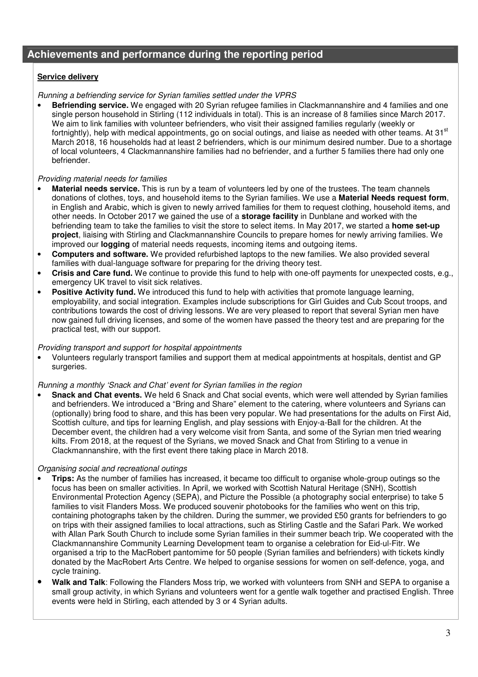#### **Achievements and performance during the reporting period**

#### **Service delivery**

#### Running a befriending service for Syrian families settled under the VPRS

• **Befriending service.** We engaged with 20 Syrian refugee families in Clackmannanshire and 4 families and one single person household in Stirling (112 individuals in total). This is an increase of 8 families since March 2017. We aim to link families with volunteer befrienders, who visit their assigned families regularly (weekly or fortnightly), help with medical appointments, go on social outings, and liaise as needed with other teams. At 31<sup>st</sup> March 2018, 16 households had at least 2 befrienders, which is our minimum desired number. Due to a shortage of local volunteers, 4 Clackmannanshire families had no befriender, and a further 5 families there had only one befriender.

#### Providing material needs for families

- **Material needs service.** This is run by a team of volunteers led by one of the trustees. The team channels donations of clothes, toys, and household items to the Syrian families. We use a **Material Needs request form**, in English and Arabic, which is given to newly arrived families for them to request clothing, household items, and other needs. In October 2017 we gained the use of a **storage facility** in Dunblane and worked with the befriending team to take the families to visit the store to select items. In May 2017, we started a **home set-up project**, liaising with Stirling and Clackmannanshire Councils to prepare homes for newly arriving families. We improved our **logging** of material needs requests, incoming items and outgoing items.
- **Computers and software.** We provided refurbished laptops to the new families. We also provided several families with dual-language software for preparing for the driving theory test.
- **Crisis and Care fund.** We continue to provide this fund to help with one-off payments for unexpected costs, e.g., emergency UK travel to visit sick relatives.
- **Positive Activity fund.** We introduced this fund to help with activities that promote language learning, employability, and social integration. Examples include subscriptions for Girl Guides and Cub Scout troops, and contributions towards the cost of driving lessons. We are very pleased to report that several Syrian men have now gained full driving licenses, and some of the women have passed the theory test and are preparing for the practical test, with our support.

#### Providing transport and support for hospital appointments

• Volunteers regularly transport families and support them at medical appointments at hospitals, dentist and GP surgeries.

#### Running a monthly 'Snack and Chat' event for Syrian families in the region

• **Snack and Chat events.** We held 6 Snack and Chat social events, which were well attended by Syrian families and befrienders. We introduced a "Bring and Share" element to the catering, where volunteers and Syrians can (optionally) bring food to share, and this has been very popular. We had presentations for the adults on First Aid, Scottish culture, and tips for learning English, and play sessions with Enjoy-a-Ball for the children. At the December event, the children had a very welcome visit from Santa, and some of the Syrian men tried wearing kilts. From 2018, at the request of the Syrians, we moved Snack and Chat from Stirling to a venue in Clackmannanshire, with the first event there taking place in March 2018.

#### Organising social and recreational outings

- **Trips:** As the number of families has increased, it became too difficult to organise whole-group outings so the focus has been on smaller activities. In April, we worked with Scottish Natural Heritage (SNH), Scottish Environmental Protection Agency (SEPA), and Picture the Possible (a photography social enterprise) to take 5 families to visit Flanders Moss. We produced souvenir photobooks for the families who went on this trip, containing photographs taken by the children. During the summer, we provided £50 grants for befrienders to go on trips with their assigned families to local attractions, such as Stirling Castle and the Safari Park. We worked with Allan Park South Church to include some Syrian families in their summer beach trip. We cooperated with the Clackmannanshire Community Learning Development team to organise a celebration for Eid-ul-Fitr. We organised a trip to the MacRobert pantomime for 50 people (Syrian families and befrienders) with tickets kindly donated by the MacRobert Arts Centre. We helped to organise sessions for women on self-defence, yoga, and cycle training.
- **Walk and Talk**: Following the Flanders Moss trip, we worked with volunteers from SNH and SEPA to organise a small group activity, in which Syrians and volunteers went for a gentle walk together and practised English. Three events were held in Stirling, each attended by 3 or 4 Syrian adults.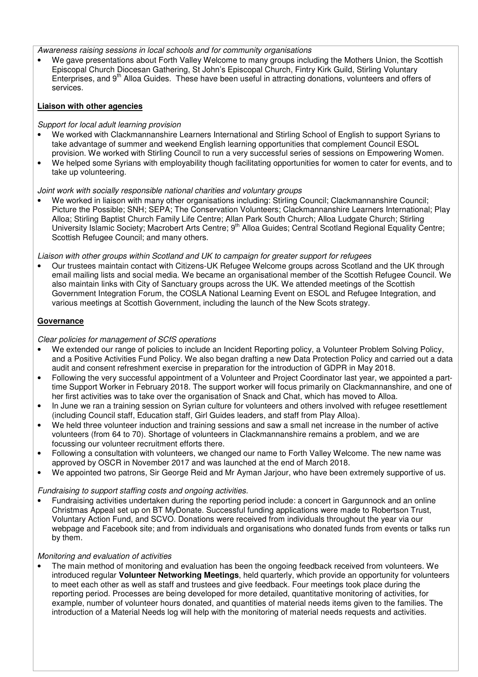Awareness raising sessions in local schools and for community organisations

• We gave presentations about Forth Valley Welcome to many groups including the Mothers Union, the Scottish Episcopal Church Diocesan Gathering, St John's Episcopal Church, Fintry Kirk Guild, Stirling Voluntary Enterprises, and 9<sup>th</sup> Alloa Guides. These have been useful in attracting donations, volunteers and offers of services.

#### **Liaison with other agencies**

#### Support for local adult learning provision

- We worked with Clackmannanshire Learners International and Stirling School of English to support Syrians to take advantage of summer and weekend English learning opportunities that complement Council ESOL provision. We worked with Stirling Council to run a very successful series of sessions on Empowering Women.
- We helped some Syrians with employability though facilitating opportunities for women to cater for events, and to take up volunteering.

#### Joint work with socially responsible national charities and voluntary groups

• We worked in liaison with many other organisations including: Stirling Council; Clackmannanshire Council; Picture the Possible; SNH; SEPA; The Conservation Volunteers; Clackmannanshire Learners International; Play Alloa; Stirling Baptist Church Family Life Centre; Allan Park South Church; Alloa Ludgate Church; Stirling University Islamic Society; Macrobert Arts Centre; 9<sup>th</sup> Alloa Guides; Central Scotland Regional Equality Centre; Scottish Refugee Council; and many others.

Liaison with other groups within Scotland and UK to campaign for greater support for refugees

• Our trustees maintain contact with Citizens-UK Refugee Welcome groups across Scotland and the UK through email mailing lists and social media. We became an organisational member of the Scottish Refugee Council. We also maintain links with City of Sanctuary groups across the UK. We attended meetings of the Scottish Government Integration Forum, the COSLA National Learning Event on ESOL and Refugee Integration, and various meetings at Scottish Government, including the launch of the New Scots strategy.

#### **Governance**

#### Clear policies for management of SCfS operations

- We extended our range of policies to include an Incident Reporting policy, a Volunteer Problem Solving Policy, and a Positive Activities Fund Policy. We also began drafting a new Data Protection Policy and carried out a data audit and consent refreshment exercise in preparation for the introduction of GDPR in May 2018.
- Following the very successful appointment of a Volunteer and Project Coordinator last year, we appointed a parttime Support Worker in February 2018. The support worker will focus primarily on Clackmannanshire, and one of her first activities was to take over the organisation of Snack and Chat, which has moved to Alloa.
- In June we ran a training session on Syrian culture for volunteers and others involved with refugee resettlement (including Council staff, Education staff, Girl Guides leaders, and staff from Play Alloa).
- We held three volunteer induction and training sessions and saw a small net increase in the number of active volunteers (from 64 to 70). Shortage of volunteers in Clackmannanshire remains a problem, and we are focussing our volunteer recruitment efforts there.
- Following a consultation with volunteers, we changed our name to Forth Valley Welcome. The new name was approved by OSCR in November 2017 and was launched at the end of March 2018.
- We appointed two patrons, Sir George Reid and Mr Ayman Jarjour, who have been extremely supportive of us.

#### Fundraising to support staffing costs and ongoing activities.

• Fundraising activities undertaken during the reporting period include: a concert in Gargunnock and an online Christmas Appeal set up on BT MyDonate. Successful funding applications were made to Robertson Trust, Voluntary Action Fund, and SCVO. Donations were received from individuals throughout the year via our webpage and Facebook site; and from individuals and organisations who donated funds from events or talks run by them.

#### Monitoring and evaluation of activities

• The main method of monitoring and evaluation has been the ongoing feedback received from volunteers. We introduced regular **Volunteer Networking Meetings**, held quarterly, which provide an opportunity for volunteers to meet each other as well as staff and trustees and give feedback. Four meetings took place during the reporting period. Processes are being developed for more detailed, quantitative monitoring of activities, for example, number of volunteer hours donated, and quantities of material needs items given to the families. The introduction of a Material Needs log will help with the monitoring of material needs requests and activities.